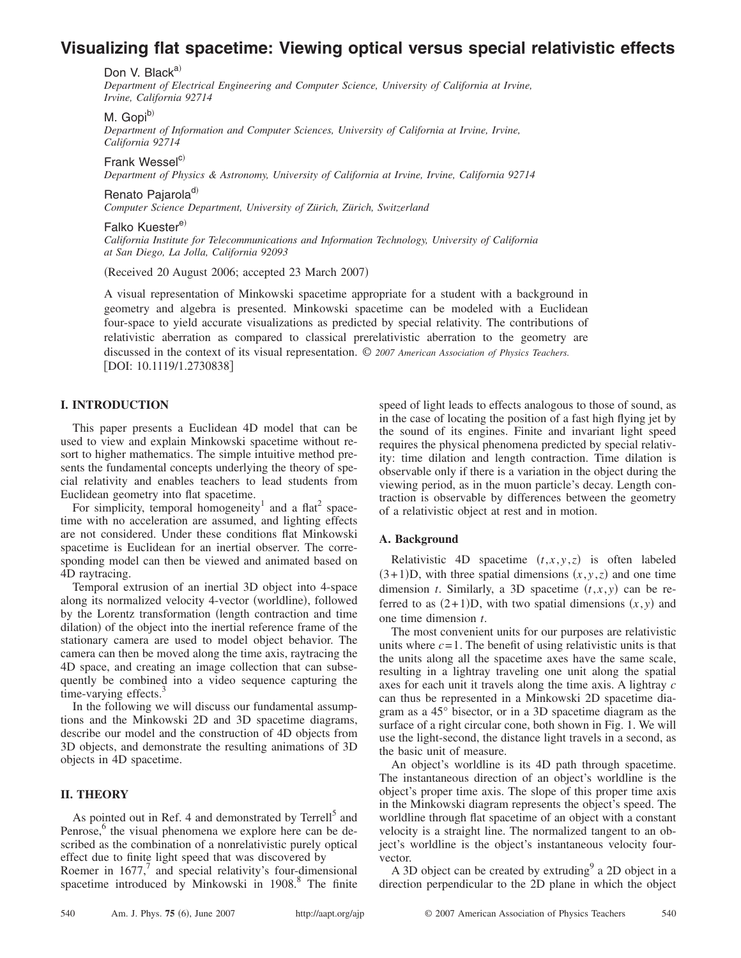# **Visualizing flat spacetime: Viewing optical versus special relativistic effects**

Don V. Black $a^{(i)}$ 

*Department of Electrical Engineering and Computer Science, University of California at Irvine, Irvine, California 92714*

M. Gopi<sup>b)</sup>

*Department of Information and Computer Sciences, University of California at Irvine, Irvine, California 92714*

Frank Wessel $c$ 

*Department of Physics & Astronomy, University of California at Irvine, Irvine, California 92714*

Renato Pajarola<sup>d)</sup>

*Computer Science Department, University of Zürich, Zürich, Switzerland*

Falko Kuester<sup>e)</sup>

*California Institute for Telecommunications and Information Technology, University of California at San Diego, La Jolla, California 92093*

(Received 20 August 2006; accepted 23 March 2007)

A visual representation of Minkowski spacetime appropriate for a student with a background in geometry and algebra is presented. Minkowski spacetime can be modeled with a Euclidean four-space to yield accurate visualizations as predicted by special relativity. The contributions of relativistic aberration as compared to classical prerelativistic aberration to the geometry are discussed in the context of its visual representation. © *2007 American Association of Physics Teachers.* [DOI: 10.1119/1.2730838]

# **I. INTRODUCTION**

This paper presents a Euclidean 4D model that can be used to view and explain Minkowski spacetime without resort to higher mathematics. The simple intuitive method presents the fundamental concepts underlying the theory of special relativity and enables teachers to lead students from Euclidean geometry into flat spacetime.

For simplicity, temporal homogeneity<sup>1</sup> and a flat<sup>2</sup> spacetime with no acceleration are assumed, and lighting effects are not considered. Under these conditions flat Minkowski spacetime is Euclidean for an inertial observer. The corresponding model can then be viewed and animated based on 4D raytracing.

Temporal extrusion of an inertial 3D object into 4-space along its normalized velocity 4-vector (worldline), followed by the Lorentz transformation (length contraction and time dilation) of the object into the inertial reference frame of the stationary camera are used to model object behavior. The camera can then be moved along the time axis, raytracing the 4D space, and creating an image collection that can subsequently be combined into a video sequence capturing the time-varying effects. $3$ 

In the following we will discuss our fundamental assumptions and the Minkowski 2D and 3D spacetime diagrams, describe our model and the construction of 4D objects from 3D objects, and demonstrate the resulting animations of 3D objects in 4D spacetime.

# **II. THEORY**

As pointed out in Ref. 4 and demonstrated by Terrell<sup>5</sup> and Penrose,<sup>6</sup> the visual phenomena we explore here can be described as the combination of a nonrelativistic purely optical effect due to finite light speed that was discovered by

Roemer in  $1677$ , and special relativity's four-dimensional spacetime introduced by Minkowski in  $1908$ .<sup>8</sup> The finite

speed of light leads to effects analogous to those of sound, as in the case of locating the position of a fast high flying jet by the sound of its engines. Finite and invariant light speed requires the physical phenomena predicted by special relativity: time dilation and length contraction. Time dilation is observable only if there is a variation in the object during the viewing period, as in the muon particle's decay. Length contraction is observable by differences between the geometry of a relativistic object at rest and in motion.

## **A. Background**

Relativistic 4D spacetime  $(t, x, y, z)$  is often labeled  $(3+1)D$ , with three spatial dimensions  $(x, y, z)$  and one time dimension *t*. Similarly, a 3D spacetime  $(t, x, y)$  can be referred to as  $(2+1)D$ , with two spatial dimensions  $(x, y)$  and one time dimension *t*.

The most convenient units for our purposes are relativistic units where  $c = 1$ . The benefit of using relativistic units is that the units along all the spacetime axes have the same scale, resulting in a lightray traveling one unit along the spatial axes for each unit it travels along the time axis. A lightray *c* can thus be represented in a Minkowski 2D spacetime diagram as a 45° bisector, or in a 3D spacetime diagram as the surface of a right circular cone, both shown in Fig. 1. We will use the light-second, the distance light travels in a second, as the basic unit of measure.

An object's worldline is its 4D path through spacetime. The instantaneous direction of an object's worldline is the object's proper time axis. The slope of this proper time axis in the Minkowski diagram represents the object's speed. The worldline through flat spacetime of an object with a constant velocity is a straight line. The normalized tangent to an object's worldline is the object's instantaneous velocity fourvector.

A 3D object can be created by extruding  $9^{\circ}$  a 2D object in a direction perpendicular to the 2D plane in which the object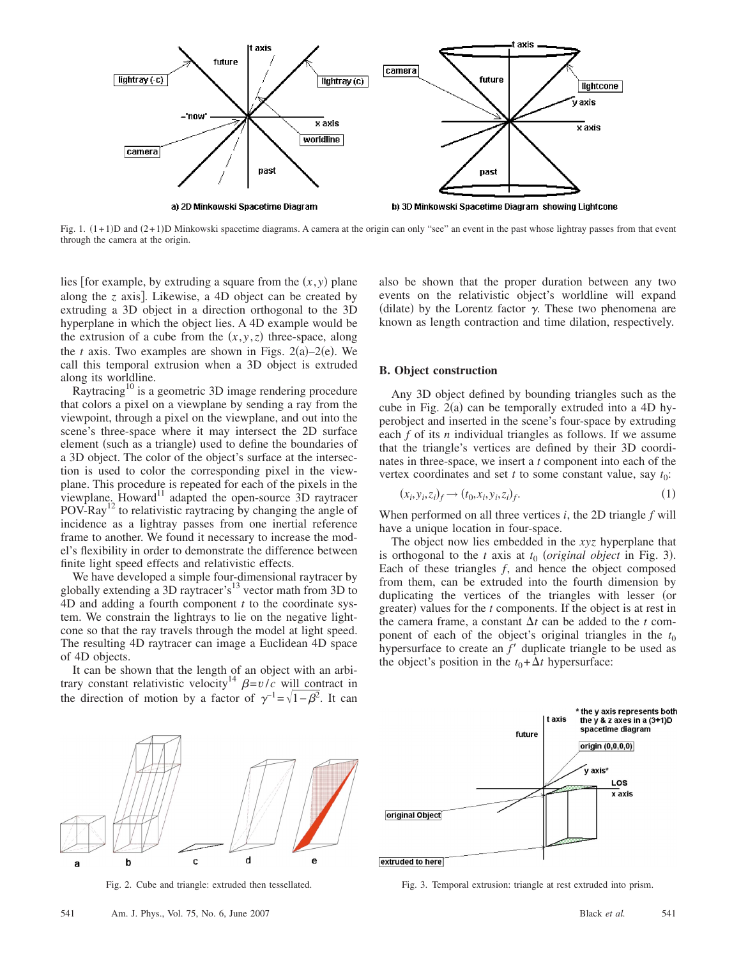

Fig. 1.  $(1+1)D$  and  $(2+1)D$  Minkowski spacetime diagrams. A camera at the origin can only "see" an event in the past whose lightray passes from that event through the camera at the origin.

lies [for example, by extruding a square from the  $(x, y)$  plane along the  $\zeta$  axis]. Likewise, a 4D object can be created by extruding a 3D object in a direction orthogonal to the 3D hyperplane in which the object lies. A 4D example would be the extrusion of a cube from the  $(x, y, z)$  three-space, along the  $t$  axis. Two examples are shown in Figs. 2(a)-2(e). We call this temporal extrusion when a 3D object is extruded along its worldline.

Raytracing<sup>10</sup> is a geometric 3D image rendering procedure that colors a pixel on a viewplane by sending a ray from the viewpoint, through a pixel on the viewplane, and out into the scene's three-space where it may intersect the 2D surface element (such as a triangle) used to define the boundaries of a 3D object. The color of the object's surface at the intersection is used to color the corresponding pixel in the viewplane. This procedure is repeated for each of the pixels in the viewplane. Howard<sup>11</sup> adapted the open-source  $\overline{3}D$  raytracer  $POV-Ray<sup>12</sup>$  to relativistic raytracing by changing the angle of incidence as a lightray passes from one inertial reference frame to another. We found it necessary to increase the model's flexibility in order to demonstrate the difference between finite light speed effects and relativistic effects.

We have developed a simple four-dimensional raytracer by globally extending a 3D raytracer's<sup>13</sup> vector math from 3D to 4D and adding a fourth component *t* to the coordinate system. We constrain the lightrays to lie on the negative lightcone so that the ray travels through the model at light speed. The resulting 4D raytracer can image a Euclidean 4D space of 4D objects.

It can be shown that the length of an object with an arbitrary constant relativistic velocity<sup>14</sup>  $\beta = v/c$  will contract in the direction of motion by a factor of  $\gamma^{-1} = \sqrt{1-\beta^2}$ . It can

also be shown that the proper duration between any two events on the relativistic object's worldline will expand (dilate) by the Lorentz factor  $\gamma$ . These two phenomena are known as length contraction and time dilation, respectively.

#### **B. Object construction**

Any 3D object defined by bounding triangles such as the cube in Fig.  $2(a)$  can be temporally extruded into a 4D hyperobject and inserted in the scene's four-space by extruding each *f* of its *n* individual triangles as follows. If we assume that the triangle's vertices are defined by their 3D coordinates in three-space, we insert a *t* component into each of the vertex coordinates and set *t* to some constant value, say  $t_0$ :

$$
(x_i, y_i, z_i)_f \longrightarrow (t_0, x_i, y_i, z_i)_f. \tag{1}
$$

When performed on all three vertices *i*, the 2D triangle *f* will have a unique location in four-space.

The object now lies embedded in the *xyz* hyperplane that is orthogonal to the  $t$  axis at  $t_0$  *(original object* in Fig. 3). Each of these triangles *f*, and hence the object composed from them, can be extruded into the fourth dimension by duplicating the vertices of the triangles with lesser (or greater) values for the *t* components. If the object is at rest in the camera frame, a constant  $\Delta t$  can be added to the *t* component of each of the object's original triangles in the  $t_0$ hypersurface to create an  $f'$  duplicate triangle to be used as the object's position in the  $t_0 + \Delta t$  hypersurface:





Fig. 2. Cube and triangle: extruded then tessellated. Fig. 3. Temporal extrusion: triangle at rest extruded into prism.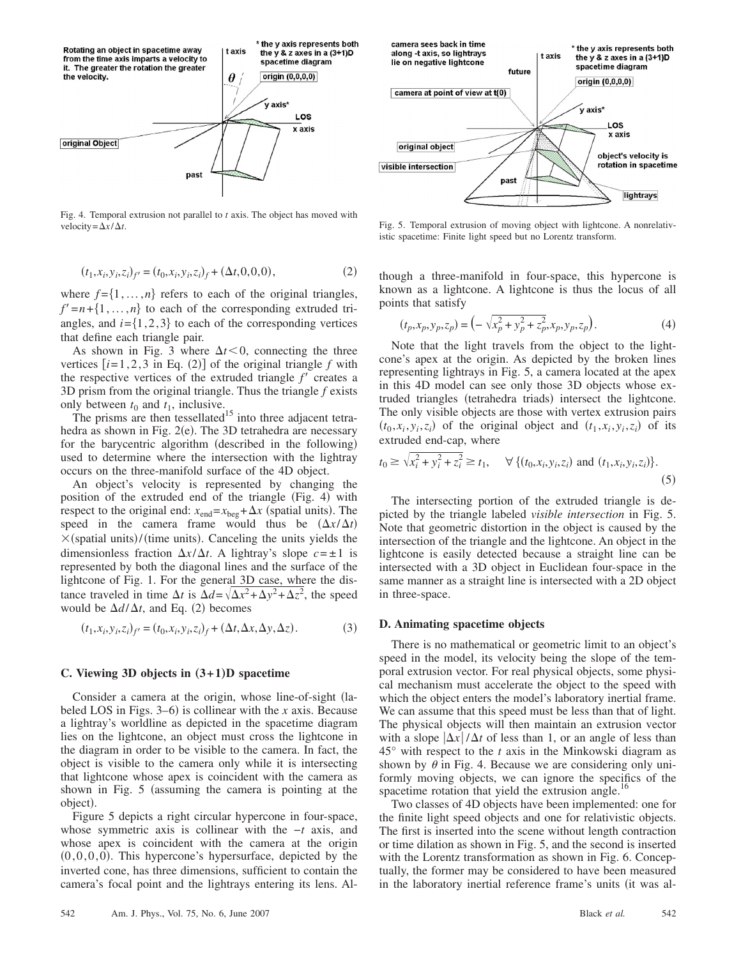

Fig. 4. Temporal extrusion not parallel to *t* axis. The object has moved with velocity= $\Delta x/\Delta t$ . Fig. 5. Temporal extrusion of moving object with lightcone. A nonrelativ-

$$
(t_1, x_i, y_i, z_i)_{f'} = (t_0, x_i, y_i, z_i)_f + (\Delta t, 0, 0, 0),
$$
\n(2)

where  $f = \{1, \ldots, n\}$  refers to each of the original triangles,  $f' = n + \{1, \ldots, n\}$  to each of the corresponding extruded triangles, and  $i = \{1,2,3\}$  to each of the corresponding vertices that define each triangle pair.

As shown in Fig. 3 where  $\Delta t < 0$ , connecting the three vertices  $[i=1, 2, 3$  in Eq. (2)] of the original triangle  $f$  with the respective vertices of the extruded triangle  $f'$  creates a 3D prism from the original triangle. Thus the triangle *f* exists only between  $t_0$  and  $t_1$ , inclusive.

The prisms are then tessellated<sup>15</sup> into three adjacent tetrahedra as shown in Fig. 2(e). The 3D tetrahedra are necessary for the barycentric algorithm (described in the following) used to determine where the intersection with the lightray occurs on the three-manifold surface of the 4D object.

An object's velocity is represented by changing the position of the extruded end of the triangle (Fig. 4) with respect to the original end:  $x_{end} = x_{beg} + \Delta x$  (spatial units). The speed in the camera frame would thus be  $(\Delta x/\Delta t)$  $\times$ (spatial units)/(time units). Canceling the units yields the dimensionless fraction  $\Delta x/\Delta t$ . A lightray's slope  $c = \pm 1$  is represented by both the diagonal lines and the surface of the lightcone of Fig. 1. For the general 3D case, where the distance traveled in time  $\Delta t$  is  $\Delta d = \sqrt{\Delta x^2 + \Delta y^2 + \Delta z^2}$ , the speed would be  $\Delta d/\Delta t$ , and Eq. (2) becomes

$$
(t_1,x_i,y_i,z_i)_{f'}=(t_0,x_i,y_i,z_i)_f+(\Delta t,\Delta x,\Delta y,\Delta z). \hspace{1.5cm} (3)
$$

#### **C. Viewing 3D objects in**  $(3+1)D$  spacetime

Consider a camera at the origin, whose line-of-sight (labeled LOS in Figs.  $3-6$ ) is collinear with the *x* axis. Because a lightray's worldline as depicted in the spacetime diagram lies on the lightcone, an object must cross the lightcone in the diagram in order to be visible to the camera. In fact, the object is visible to the camera only while it is intersecting that lightcone whose apex is coincident with the camera as shown in Fig.  $5$  (assuming the camera is pointing at the object).

Figure 5 depicts a right circular hypercone in four-space, whose symmetric axis is collinear with the −*t* axis, and whose apex is coincident with the camera at the origin  $(0,0,0,0)$ . This hypercone's hypersurface, depicted by the inverted cone, has three dimensions, sufficient to contain the camera's focal point and the lightrays entering its lens. Al-



istic spacetime: Finite light speed but no Lorentz transform.

though a three-manifold in four-space, this hypercone is known as a lightcone. A lightcone is thus the locus of all points that satisfy

$$
(t_p, x_p, y_p, z_p) = \left(-\sqrt{x_p^2 + y_p^2 + z_p^2}, x_p, y_p, z_p\right). \tag{4}
$$

Note that the light travels from the object to the lightcone's apex at the origin. As depicted by the broken lines representing lightrays in Fig. 5, a camera located at the apex in this 4D model can see only those 3D objects whose extruded triangles (tetrahedra triads) intersect the lightcone. The only visible objects are those with vertex extrusion pairs  $(t_0, x_i, y_i, z_i)$  of the original object and  $(t_1, x_i, y_i, z_i)$  of its extruded end-cap, where

$$
t_0 \ge \sqrt{x_i^2 + y_i^2 + z_i^2} \ge t_1
$$
,  $\forall \{(t_0, x_i, y_i, z_i) \text{ and } (t_1, x_i, y_i, z_i)\}.$  (5)

The intersecting portion of the extruded triangle is depicted by the triangle labeled *visible intersection* in Fig. 5. Note that geometric distortion in the object is caused by the intersection of the triangle and the lightcone. An object in the lightcone is easily detected because a straight line can be intersected with a 3D object in Euclidean four-space in the same manner as a straight line is intersected with a 2D object in three-space.

#### **D. Animating spacetime objects**

There is no mathematical or geometric limit to an object's speed in the model, its velocity being the slope of the temporal extrusion vector. For real physical objects, some physical mechanism must accelerate the object to the speed with which the object enters the model's laboratory inertial frame. We can assume that this speed must be less than that of light. The physical objects will then maintain an extrusion vector with a slope  $|\Delta x|/\Delta t$  of less than 1, or an angle of less than 45° with respect to the *t* axis in the Minkowski diagram as shown by  $\theta$  in Fig. 4. Because we are considering only uniformly moving objects, we can ignore the specifics of the spacetime rotation that yield the extrusion angle.<sup>16</sup>

Two classes of 4D objects have been implemented: one for the finite light speed objects and one for relativistic objects. The first is inserted into the scene without length contraction or time dilation as shown in Fig. 5, and the second is inserted with the Lorentz transformation as shown in Fig. 6. Conceptually, the former may be considered to have been measured in the laboratory inertial reference frame's units (it was al-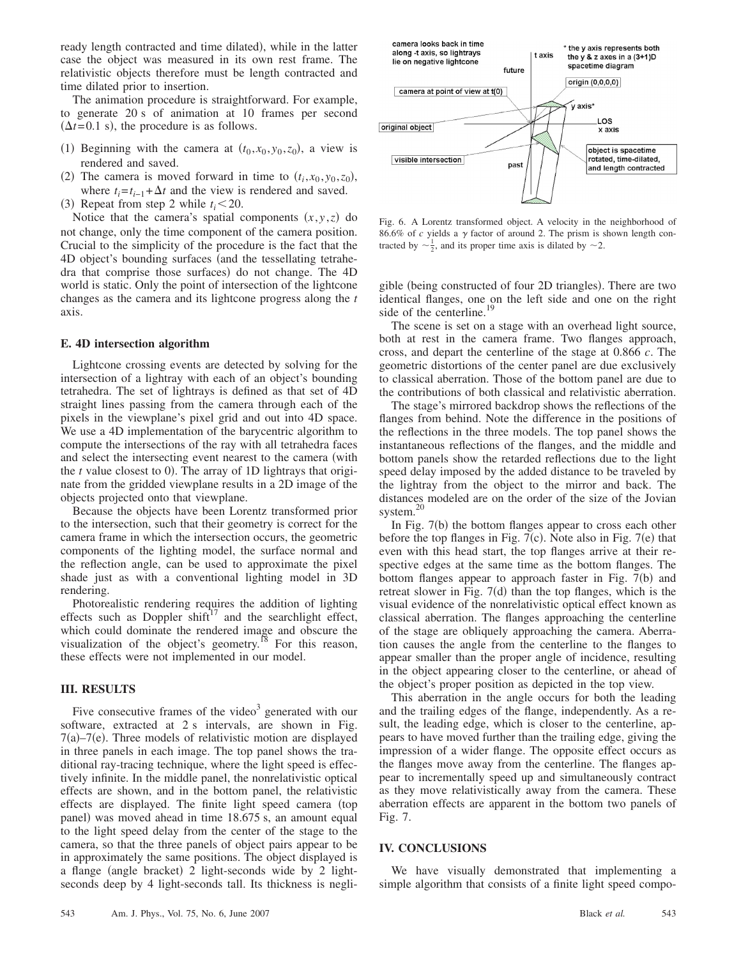ready length contracted and time dilated), while in the latter case the object was measured in its own rest frame. The relativistic objects therefore must be length contracted and time dilated prior to insertion.

The animation procedure is straightforward. For example, to generate 20 s of animation at 10 frames per second  $(\Delta t = 0.1 \text{ s})$ , the procedure is as follows.

- (1) Beginning with the camera at  $(t_0, x_0, y_0, z_0)$ , a view is rendered and saved.
- (2) The camera is moved forward in time to  $(t_i, x_0, y_0, z_0)$ , where  $t_i = t_{i-1} + \Delta t$  and the view is rendered and saved.
- (3) Repeat from step 2 while  $t_i < 20$ .

Notice that the camera's spatial components  $(x, y, z)$  do not change, only the time component of the camera position. Crucial to the simplicity of the procedure is the fact that the 4D object's bounding surfaces (and the tessellating tetrahedra that comprise those surfaces) do not change. The 4D world is static. Only the point of intersection of the lightcone changes as the camera and its lightcone progress along the *t* axis.

#### **E. 4D intersection algorithm**

Lightcone crossing events are detected by solving for the intersection of a lightray with each of an object's bounding tetrahedra. The set of lightrays is defined as that set of 4D straight lines passing from the camera through each of the pixels in the viewplane's pixel grid and out into 4D space. We use a 4D implementation of the barycentric algorithm to compute the intersections of the ray with all tetrahedra faces and select the intersecting event nearest to the camera (with the  $t$  value closest to 0). The array of 1D lightrays that originate from the gridded viewplane results in a 2D image of the objects projected onto that viewplane.

Because the objects have been Lorentz transformed prior to the intersection, such that their geometry is correct for the camera frame in which the intersection occurs, the geometric components of the lighting model, the surface normal and the reflection angle, can be used to approximate the pixel shade just as with a conventional lighting model in 3D rendering.

Photorealistic rendering requires the addition of lighting effects such as Doppler  $\sin\theta^{17}$  and the searchlight effect, which could dominate the rendered image and obscure the visualization of the object's geometry.<sup>18</sup> For this reason, these effects were not implemented in our model.

#### **III. RESULTS**

Five consecutive frames of the video $3$  generated with our software, extracted at 2 s intervals, are shown in Fig.  $7(a) - 7(e)$ . Three models of relativistic motion are displayed in three panels in each image. The top panel shows the traditional ray-tracing technique, where the light speed is effectively infinite. In the middle panel, the nonrelativistic optical effects are shown, and in the bottom panel, the relativistic effects are displayed. The finite light speed camera (top panel) was moved ahead in time 18.675 s, an amount equal to the light speed delay from the center of the stage to the camera, so that the three panels of object pairs appear to be in approximately the same positions. The object displayed is a flange (angle bracket) 2 light-seconds wide by 2 lightseconds deep by 4 light-seconds tall. Its thickness is negli-



Fig. 6. A Lorentz transformed object. A velocity in the neighborhood of  $86.6\%$  of *c* yields a  $\gamma$  factor of around 2. The prism is shown length contracted by  $\sim \frac{1}{2}$ , and its proper time axis is dilated by  $\sim 2$ .

gible (being constructed of four 2D triangles). There are two identical flanges, one on the left side and one on the right side of the centerline.<sup>19</sup>

The scene is set on a stage with an overhead light source, both at rest in the camera frame. Two flanges approach, cross, and depart the centerline of the stage at 0.866 *c*. The geometric distortions of the center panel are due exclusively to classical aberration. Those of the bottom panel are due to the contributions of both classical and relativistic aberration.

The stage's mirrored backdrop shows the reflections of the flanges from behind. Note the difference in the positions of the reflections in the three models. The top panel shows the instantaneous reflections of the flanges, and the middle and bottom panels show the retarded reflections due to the light speed delay imposed by the added distance to be traveled by the lightray from the object to the mirror and back. The distances modeled are on the order of the size of the Jovian system.<sup>2</sup>

In Fig. 7(b) the bottom flanges appear to cross each other before the top flanges in Fig.  $7(c)$ . Note also in Fig.  $7(e)$  that even with this head start, the top flanges arrive at their respective edges at the same time as the bottom flanges. The bottom flanges appear to approach faster in Fig. 7(b) and retreat slower in Fig.  $7(d)$  than the top flanges, which is the visual evidence of the nonrelativistic optical effect known as classical aberration. The flanges approaching the centerline of the stage are obliquely approaching the camera. Aberration causes the angle from the centerline to the flanges to appear smaller than the proper angle of incidence, resulting in the object appearing closer to the centerline, or ahead of the object's proper position as depicted in the top view.

This aberration in the angle occurs for both the leading and the trailing edges of the flange, independently. As a result, the leading edge, which is closer to the centerline, appears to have moved further than the trailing edge, giving the impression of a wider flange. The opposite effect occurs as the flanges move away from the centerline. The flanges appear to incrementally speed up and simultaneously contract as they move relativistically away from the camera. These aberration effects are apparent in the bottom two panels of Fig. 7.

#### **IV. CONCLUSIONS**

We have visually demonstrated that implementing a simple algorithm that consists of a finite light speed compo-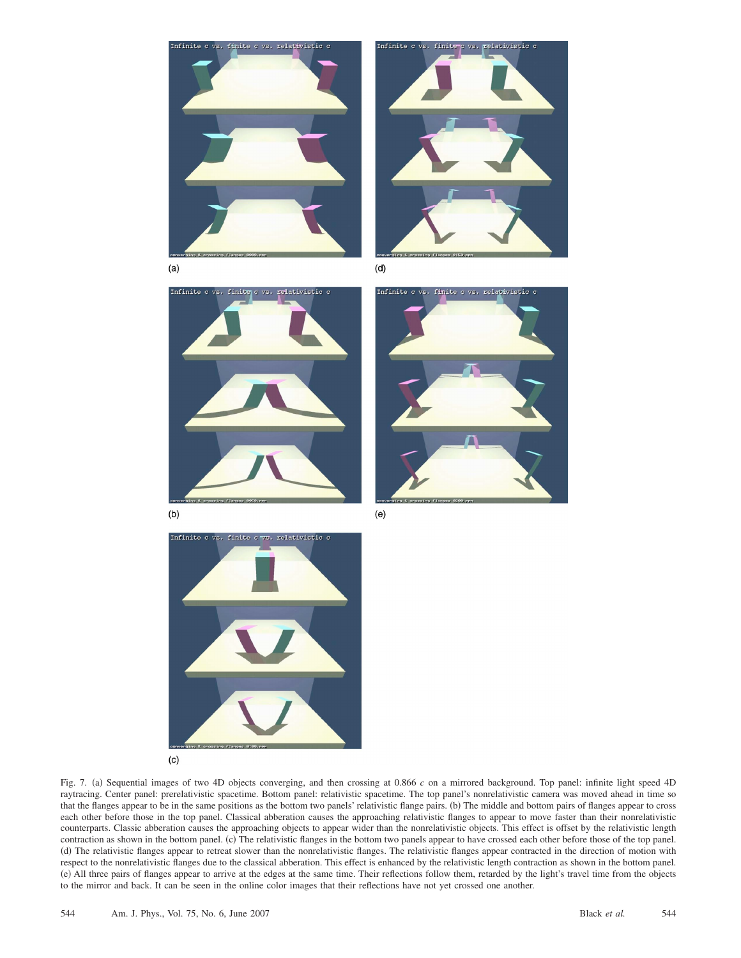



 $(a)$ 









 $(c)$ 

Fig. 7. (a) Sequential images of two 4D objects converging, and then crossing at 0.866 *c* on a mirrored background. Top panel: infinite light speed 4D raytracing. Center panel: prerelativistic spacetime. Bottom panel: relativistic spacetime. The top panel's nonrelativistic camera was moved ahead in time so that the flanges appear to be in the same positions as the bottom two panels' relativistic flange pairs. (b) The middle and bottom pairs of flanges appear to cross each other before those in the top panel. Classical abberation causes the approaching relativistic flanges to appear to move faster than their nonrelativistic counterparts. Classic abberation causes the approaching objects to appear wider than the nonrelativistic objects. This effect is offset by the relativistic length contraction as shown in the bottom panel. (c) The relativistic flanges in the bottom two panels appear to have crossed each other before those of the top panel. (d) The relativistic flanges appear to retreat slower than the nonrelativistic flanges. The relativistic flanges appear contracted in the direction of motion with respect to the nonrelativistic flanges due to the classical abberation. This effect is enhanced by the relativistic length contraction as shown in the bottom panel. (e) All three pairs of flanges appear to arrive at the edges at the same time. Their reflections follow them, retarded by the light's travel time from the objects to the mirror and back. It can be seen in the online color images that their reflections have not yet crossed one another.